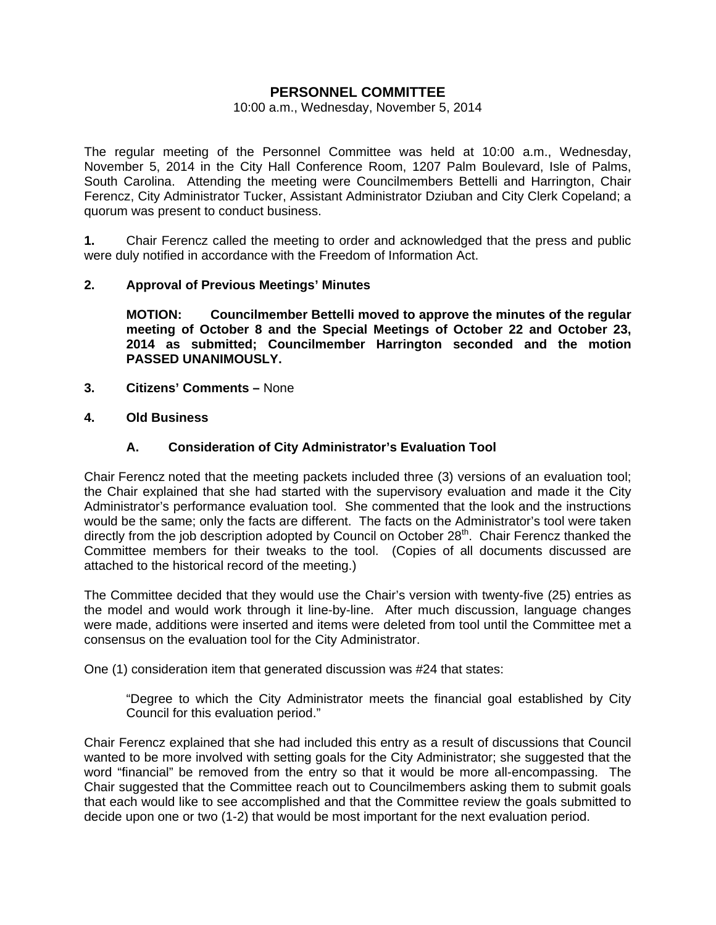# **PERSONNEL COMMITTEE**

#### 10:00 a.m., Wednesday, November 5, 2014

The regular meeting of the Personnel Committee was held at 10:00 a.m., Wednesday, November 5, 2014 in the City Hall Conference Room, 1207 Palm Boulevard, Isle of Palms, South Carolina. Attending the meeting were Councilmembers Bettelli and Harrington, Chair Ferencz, City Administrator Tucker, Assistant Administrator Dziuban and City Clerk Copeland; a quorum was present to conduct business.

**1.** Chair Ferencz called the meeting to order and acknowledged that the press and public were duly notified in accordance with the Freedom of Information Act.

## **2. Approval of Previous Meetings' Minutes**

 **MOTION: Councilmember Bettelli moved to approve the minutes of the regular meeting of October 8 and the Special Meetings of October 22 and October 23, 2014 as submitted; Councilmember Harrington seconded and the motion PASSED UNANIMOUSLY.** 

- **3. Citizens' Comments** None
- **4. Old Business**

## **A. Consideration of City Administrator's Evaluation Tool**

Chair Ferencz noted that the meeting packets included three (3) versions of an evaluation tool; the Chair explained that she had started with the supervisory evaluation and made it the City Administrator's performance evaluation tool. She commented that the look and the instructions would be the same; only the facts are different. The facts on the Administrator's tool were taken directly from the job description adopted by Council on October 28<sup>th</sup>. Chair Ferencz thanked the Committee members for their tweaks to the tool. (Copies of all documents discussed are attached to the historical record of the meeting.)

The Committee decided that they would use the Chair's version with twenty-five (25) entries as the model and would work through it line-by-line. After much discussion, language changes were made, additions were inserted and items were deleted from tool until the Committee met a consensus on the evaluation tool for the City Administrator.

One (1) consideration item that generated discussion was #24 that states:

 "Degree to which the City Administrator meets the financial goal established by City Council for this evaluation period."

Chair Ferencz explained that she had included this entry as a result of discussions that Council wanted to be more involved with setting goals for the City Administrator; she suggested that the word "financial" be removed from the entry so that it would be more all-encompassing. The Chair suggested that the Committee reach out to Councilmembers asking them to submit goals that each would like to see accomplished and that the Committee review the goals submitted to decide upon one or two (1-2) that would be most important for the next evaluation period.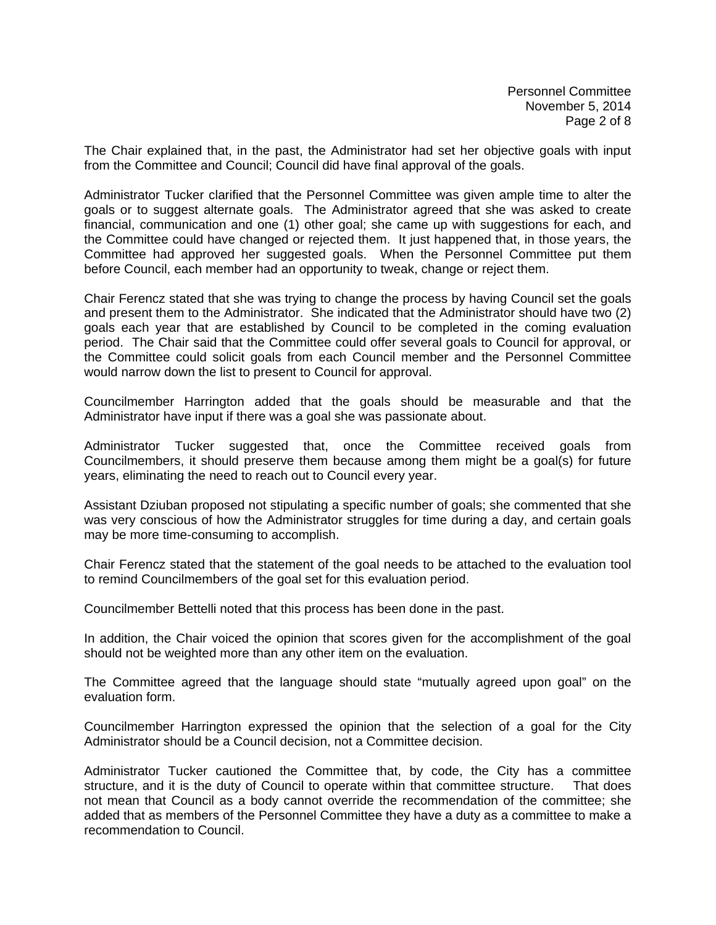Personnel Committee November 5, 2014 Page 2 of 8

The Chair explained that, in the past, the Administrator had set her objective goals with input from the Committee and Council; Council did have final approval of the goals.

Administrator Tucker clarified that the Personnel Committee was given ample time to alter the goals or to suggest alternate goals. The Administrator agreed that she was asked to create financial, communication and one (1) other goal; she came up with suggestions for each, and the Committee could have changed or rejected them. It just happened that, in those years, the Committee had approved her suggested goals. When the Personnel Committee put them before Council, each member had an opportunity to tweak, change or reject them.

Chair Ferencz stated that she was trying to change the process by having Council set the goals and present them to the Administrator. She indicated that the Administrator should have two (2) goals each year that are established by Council to be completed in the coming evaluation period. The Chair said that the Committee could offer several goals to Council for approval, or the Committee could solicit goals from each Council member and the Personnel Committee would narrow down the list to present to Council for approval.

Councilmember Harrington added that the goals should be measurable and that the Administrator have input if there was a goal she was passionate about.

Administrator Tucker suggested that, once the Committee received goals from Councilmembers, it should preserve them because among them might be a goal(s) for future years, eliminating the need to reach out to Council every year.

Assistant Dziuban proposed not stipulating a specific number of goals; she commented that she was very conscious of how the Administrator struggles for time during a day, and certain goals may be more time-consuming to accomplish.

Chair Ferencz stated that the statement of the goal needs to be attached to the evaluation tool to remind Councilmembers of the goal set for this evaluation period.

Councilmember Bettelli noted that this process has been done in the past.

In addition, the Chair voiced the opinion that scores given for the accomplishment of the goal should not be weighted more than any other item on the evaluation.

The Committee agreed that the language should state "mutually agreed upon goal" on the evaluation form.

Councilmember Harrington expressed the opinion that the selection of a goal for the City Administrator should be a Council decision, not a Committee decision.

Administrator Tucker cautioned the Committee that, by code, the City has a committee structure, and it is the duty of Council to operate within that committee structure. That does not mean that Council as a body cannot override the recommendation of the committee; she added that as members of the Personnel Committee they have a duty as a committee to make a recommendation to Council.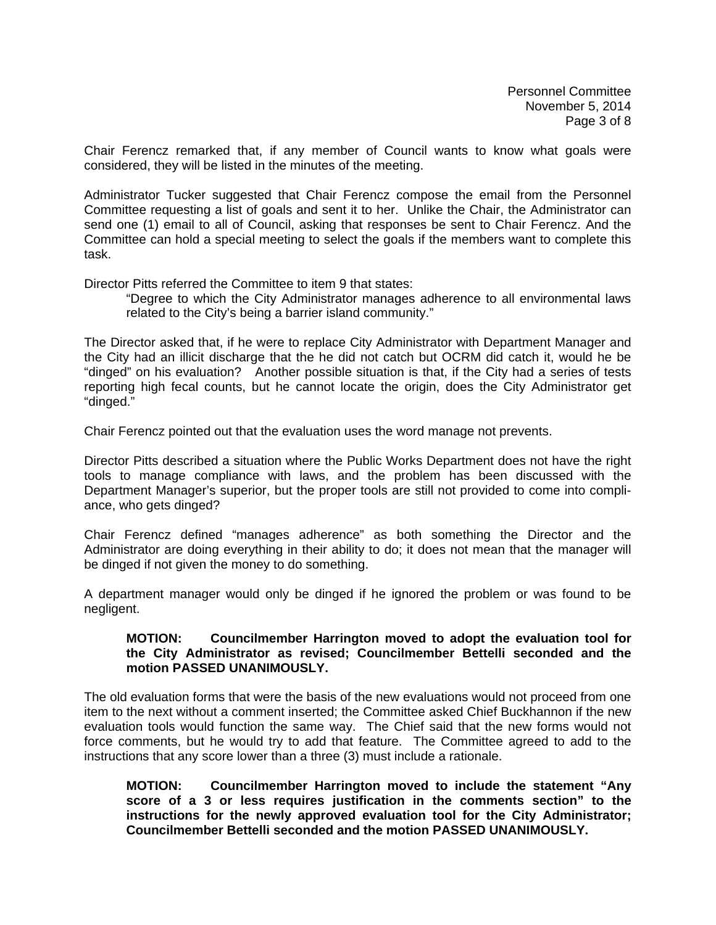Chair Ferencz remarked that, if any member of Council wants to know what goals were considered, they will be listed in the minutes of the meeting.

Administrator Tucker suggested that Chair Ferencz compose the email from the Personnel Committee requesting a list of goals and sent it to her. Unlike the Chair, the Administrator can send one (1) email to all of Council, asking that responses be sent to Chair Ferencz. And the Committee can hold a special meeting to select the goals if the members want to complete this task.

Director Pitts referred the Committee to item 9 that states:

 "Degree to which the City Administrator manages adherence to all environmental laws related to the City's being a barrier island community."

The Director asked that, if he were to replace City Administrator with Department Manager and the City had an illicit discharge that the he did not catch but OCRM did catch it, would he be "dinged" on his evaluation? Another possible situation is that, if the City had a series of tests reporting high fecal counts, but he cannot locate the origin, does the City Administrator get "dinged."

Chair Ferencz pointed out that the evaluation uses the word manage not prevents.

Director Pitts described a situation where the Public Works Department does not have the right tools to manage compliance with laws, and the problem has been discussed with the Department Manager's superior, but the proper tools are still not provided to come into compliance, who gets dinged?

Chair Ferencz defined "manages adherence" as both something the Director and the Administrator are doing everything in their ability to do; it does not mean that the manager will be dinged if not given the money to do something.

A department manager would only be dinged if he ignored the problem or was found to be negligent.

### **MOTION: Councilmember Harrington moved to adopt the evaluation tool for the City Administrator as revised; Councilmember Bettelli seconded and the motion PASSED UNANIMOUSLY.**

The old evaluation forms that were the basis of the new evaluations would not proceed from one item to the next without a comment inserted; the Committee asked Chief Buckhannon if the new evaluation tools would function the same way. The Chief said that the new forms would not force comments, but he would try to add that feature. The Committee agreed to add to the instructions that any score lower than a three (3) must include a rationale.

**MOTION: Councilmember Harrington moved to include the statement "Any score of a 3 or less requires justification in the comments section" to the instructions for the newly approved evaluation tool for the City Administrator; Councilmember Bettelli seconded and the motion PASSED UNANIMOUSLY.**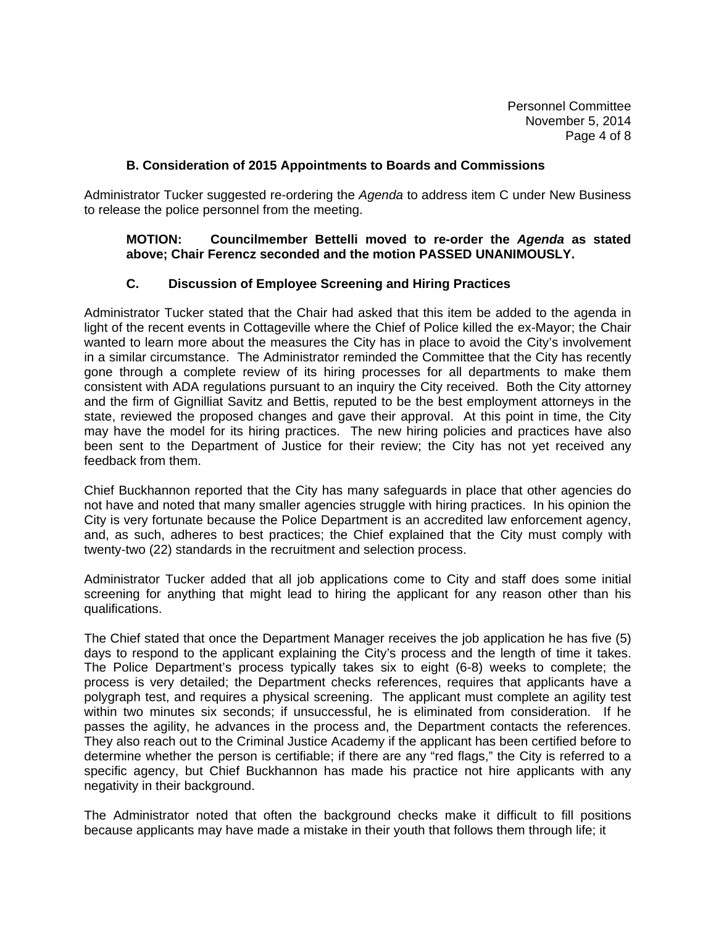Personnel Committee November 5, 2014 Page 4 of 8

### **B. Consideration of 2015 Appointments to Boards and Commissions**

Administrator Tucker suggested re-ordering the *Agenda* to address item C under New Business to release the police personnel from the meeting.

## **MOTION: Councilmember Bettelli moved to re-order the** *Agenda* **as stated above; Chair Ferencz seconded and the motion PASSED UNANIMOUSLY.**

## **C. Discussion of Employee Screening and Hiring Practices**

Administrator Tucker stated that the Chair had asked that this item be added to the agenda in light of the recent events in Cottageville where the Chief of Police killed the ex-Mayor; the Chair wanted to learn more about the measures the City has in place to avoid the City's involvement in a similar circumstance. The Administrator reminded the Committee that the City has recently gone through a complete review of its hiring processes for all departments to make them consistent with ADA regulations pursuant to an inquiry the City received. Both the City attorney and the firm of Gignilliat Savitz and Bettis, reputed to be the best employment attorneys in the state, reviewed the proposed changes and gave their approval. At this point in time, the City may have the model for its hiring practices. The new hiring policies and practices have also been sent to the Department of Justice for their review; the City has not yet received any feedback from them.

Chief Buckhannon reported that the City has many safeguards in place that other agencies do not have and noted that many smaller agencies struggle with hiring practices. In his opinion the City is very fortunate because the Police Department is an accredited law enforcement agency, and, as such, adheres to best practices; the Chief explained that the City must comply with twenty-two (22) standards in the recruitment and selection process.

Administrator Tucker added that all job applications come to City and staff does some initial screening for anything that might lead to hiring the applicant for any reason other than his qualifications.

The Chief stated that once the Department Manager receives the job application he has five (5) days to respond to the applicant explaining the City's process and the length of time it takes. The Police Department's process typically takes six to eight (6-8) weeks to complete; the process is very detailed; the Department checks references, requires that applicants have a polygraph test, and requires a physical screening. The applicant must complete an agility test within two minutes six seconds; if unsuccessful, he is eliminated from consideration. If he passes the agility, he advances in the process and, the Department contacts the references. They also reach out to the Criminal Justice Academy if the applicant has been certified before to determine whether the person is certifiable; if there are any "red flags," the City is referred to a specific agency, but Chief Buckhannon has made his practice not hire applicants with any negativity in their background.

The Administrator noted that often the background checks make it difficult to fill positions because applicants may have made a mistake in their youth that follows them through life; it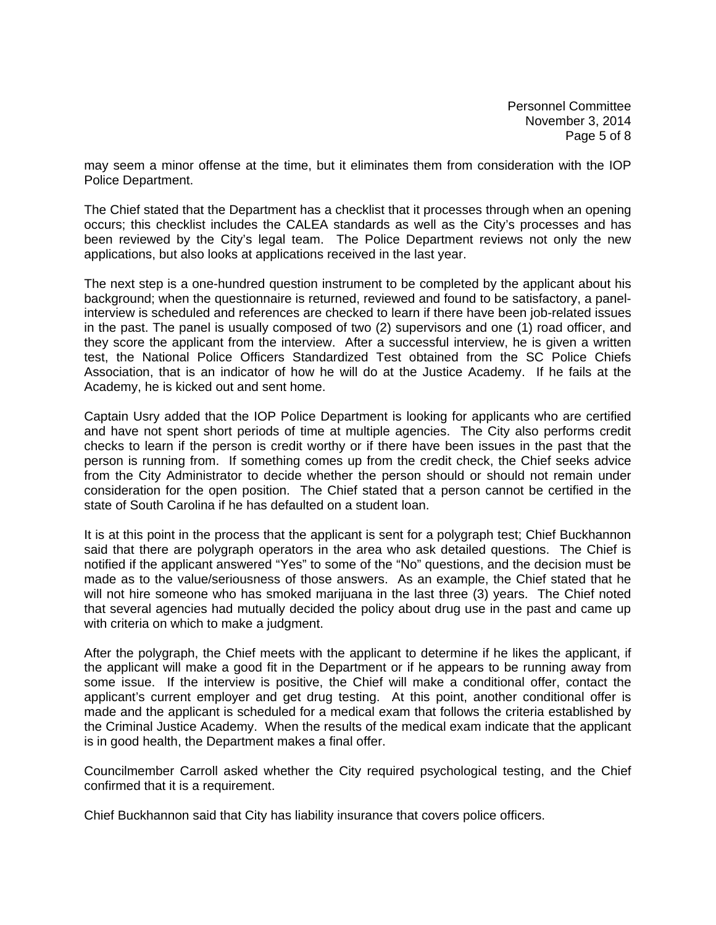Personnel Committee November 3, 2014 Page 5 of 8

may seem a minor offense at the time, but it eliminates them from consideration with the IOP Police Department.

The Chief stated that the Department has a checklist that it processes through when an opening occurs; this checklist includes the CALEA standards as well as the City's processes and has been reviewed by the City's legal team. The Police Department reviews not only the new applications, but also looks at applications received in the last year.

The next step is a one-hundred question instrument to be completed by the applicant about his background; when the questionnaire is returned, reviewed and found to be satisfactory, a panelinterview is scheduled and references are checked to learn if there have been job-related issues in the past. The panel is usually composed of two (2) supervisors and one (1) road officer, and they score the applicant from the interview. After a successful interview, he is given a written test, the National Police Officers Standardized Test obtained from the SC Police Chiefs Association, that is an indicator of how he will do at the Justice Academy. If he fails at the Academy, he is kicked out and sent home.

Captain Usry added that the IOP Police Department is looking for applicants who are certified and have not spent short periods of time at multiple agencies. The City also performs credit checks to learn if the person is credit worthy or if there have been issues in the past that the person is running from. If something comes up from the credit check, the Chief seeks advice from the City Administrator to decide whether the person should or should not remain under consideration for the open position. The Chief stated that a person cannot be certified in the state of South Carolina if he has defaulted on a student loan.

It is at this point in the process that the applicant is sent for a polygraph test; Chief Buckhannon said that there are polygraph operators in the area who ask detailed questions. The Chief is notified if the applicant answered "Yes" to some of the "No" questions, and the decision must be made as to the value/seriousness of those answers. As an example, the Chief stated that he will not hire someone who has smoked marijuana in the last three (3) years. The Chief noted that several agencies had mutually decided the policy about drug use in the past and came up with criteria on which to make a judgment.

After the polygraph, the Chief meets with the applicant to determine if he likes the applicant, if the applicant will make a good fit in the Department or if he appears to be running away from some issue. If the interview is positive, the Chief will make a conditional offer, contact the applicant's current employer and get drug testing. At this point, another conditional offer is made and the applicant is scheduled for a medical exam that follows the criteria established by the Criminal Justice Academy. When the results of the medical exam indicate that the applicant is in good health, the Department makes a final offer.

Councilmember Carroll asked whether the City required psychological testing, and the Chief confirmed that it is a requirement.

Chief Buckhannon said that City has liability insurance that covers police officers.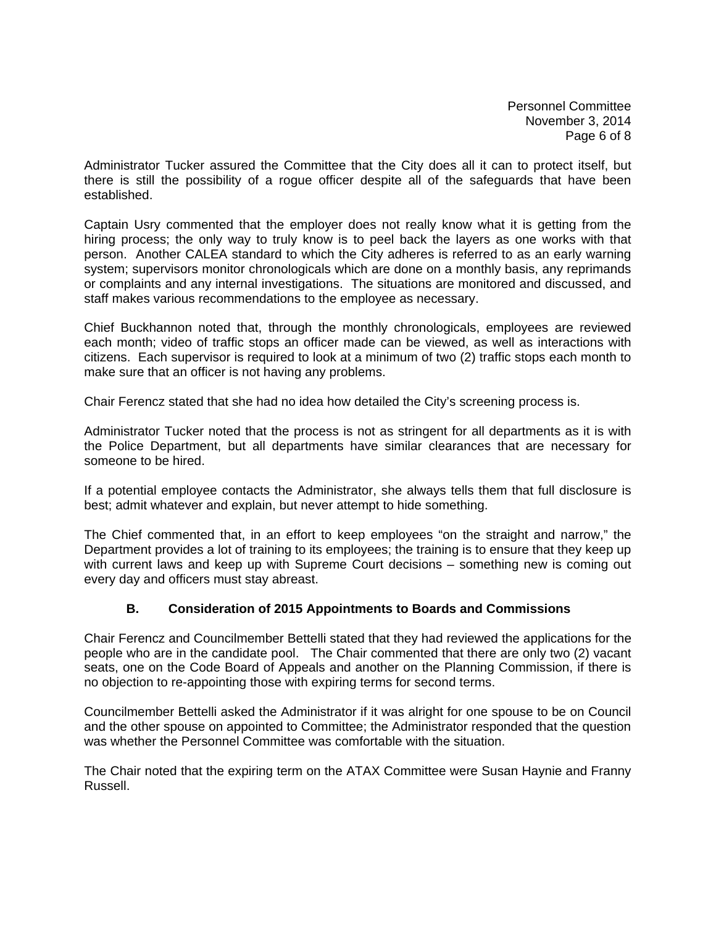Personnel Committee November 3, 2014 Page 6 of 8

Administrator Tucker assured the Committee that the City does all it can to protect itself, but there is still the possibility of a rogue officer despite all of the safeguards that have been established.

Captain Usry commented that the employer does not really know what it is getting from the hiring process; the only way to truly know is to peel back the layers as one works with that person. Another CALEA standard to which the City adheres is referred to as an early warning system; supervisors monitor chronologicals which are done on a monthly basis, any reprimands or complaints and any internal investigations. The situations are monitored and discussed, and staff makes various recommendations to the employee as necessary.

Chief Buckhannon noted that, through the monthly chronologicals, employees are reviewed each month; video of traffic stops an officer made can be viewed, as well as interactions with citizens. Each supervisor is required to look at a minimum of two (2) traffic stops each month to make sure that an officer is not having any problems.

Chair Ferencz stated that she had no idea how detailed the City's screening process is.

Administrator Tucker noted that the process is not as stringent for all departments as it is with the Police Department, but all departments have similar clearances that are necessary for someone to be hired.

If a potential employee contacts the Administrator, she always tells them that full disclosure is best; admit whatever and explain, but never attempt to hide something.

The Chief commented that, in an effort to keep employees "on the straight and narrow," the Department provides a lot of training to its employees; the training is to ensure that they keep up with current laws and keep up with Supreme Court decisions – something new is coming out every day and officers must stay abreast.

## **B. Consideration of 2015 Appointments to Boards and Commissions**

Chair Ferencz and Councilmember Bettelli stated that they had reviewed the applications for the people who are in the candidate pool. The Chair commented that there are only two (2) vacant seats, one on the Code Board of Appeals and another on the Planning Commission, if there is no objection to re-appointing those with expiring terms for second terms.

Councilmember Bettelli asked the Administrator if it was alright for one spouse to be on Council and the other spouse on appointed to Committee; the Administrator responded that the question was whether the Personnel Committee was comfortable with the situation.

The Chair noted that the expiring term on the ATAX Committee were Susan Haynie and Franny Russell.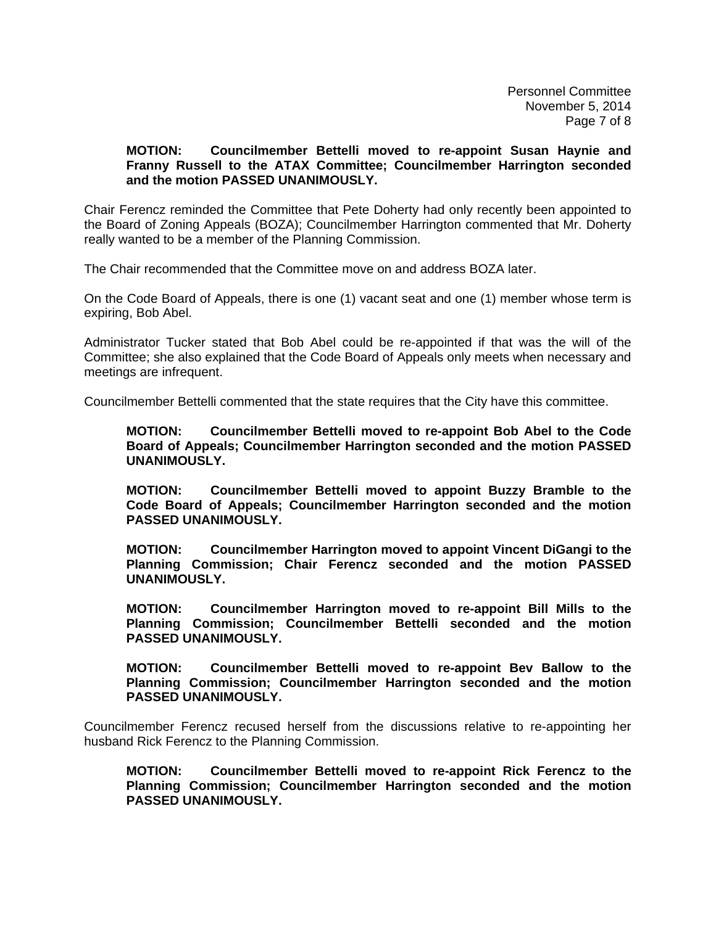Personnel Committee November 5, 2014 Page 7 of 8

### **MOTION: Councilmember Bettelli moved to re-appoint Susan Haynie and Franny Russell to the ATAX Committee; Councilmember Harrington seconded and the motion PASSED UNANIMOUSLY.**

Chair Ferencz reminded the Committee that Pete Doherty had only recently been appointed to the Board of Zoning Appeals (BOZA); Councilmember Harrington commented that Mr. Doherty really wanted to be a member of the Planning Commission.

The Chair recommended that the Committee move on and address BOZA later.

On the Code Board of Appeals, there is one (1) vacant seat and one (1) member whose term is expiring, Bob Abel.

Administrator Tucker stated that Bob Abel could be re-appointed if that was the will of the Committee; she also explained that the Code Board of Appeals only meets when necessary and meetings are infrequent.

Councilmember Bettelli commented that the state requires that the City have this committee.

**MOTION: Councilmember Bettelli moved to re-appoint Bob Abel to the Code Board of Appeals; Councilmember Harrington seconded and the motion PASSED UNANIMOUSLY.** 

 **MOTION: Councilmember Bettelli moved to appoint Buzzy Bramble to the Code Board of Appeals; Councilmember Harrington seconded and the motion PASSED UNANIMOUSLY.** 

 **MOTION: Councilmember Harrington moved to appoint Vincent DiGangi to the Planning Commission; Chair Ferencz seconded and the motion PASSED UNANIMOUSLY.** 

 **MOTION: Councilmember Harrington moved to re-appoint Bill Mills to the Planning Commission; Councilmember Bettelli seconded and the motion PASSED UNANIMOUSLY.** 

 **MOTION: Councilmember Bettelli moved to re-appoint Bev Ballow to the Planning Commission; Councilmember Harrington seconded and the motion PASSED UNANIMOUSLY.** 

Councilmember Ferencz recused herself from the discussions relative to re-appointing her husband Rick Ferencz to the Planning Commission.

**MOTION: Councilmember Bettelli moved to re-appoint Rick Ferencz to the Planning Commission; Councilmember Harrington seconded and the motion PASSED UNANIMOUSLY.**